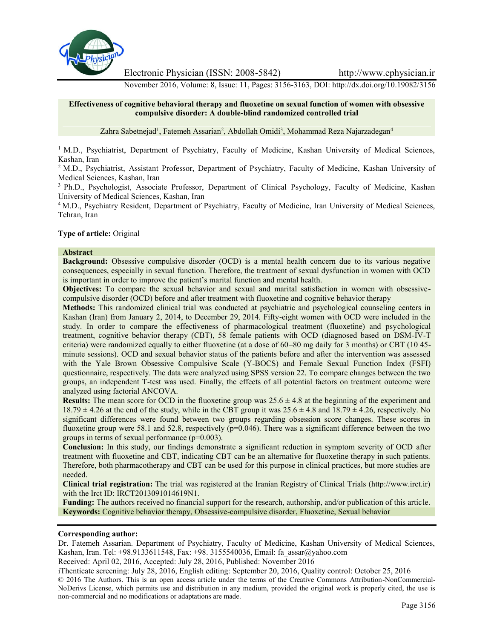

Electronic Physician (ISSN: 2008-5842) http://www.ephysician.ir

November 2016, Volume: 8, Issue: 11, Pages: 3156-3163, DOI: http://dx.doi.org/10.19082/3156

### **Effectiveness of cognitive behavioral therapy and fluoxetine on sexual function of women with obsessive compulsive disorder: A double-blind randomized controlled trial**

Zahra Sabetnejad<sup>1</sup>, Fatemeh Assarian<sup>2</sup>, Abdollah Omidi<sup>3</sup>, Mohammad Reza Najarzadegan<sup>4</sup>

<sup>1</sup> M.D., Psychiatrist, Department of Psychiatry, Faculty of Medicine, Kashan University of Medical Sciences, Kashan, Iran

<sup>2</sup> M.D., Psychiatrist, Assistant Professor, Department of Psychiatry, Faculty of Medicine, Kashan University of Medical Sciences, Kashan, Iran

<sup>3</sup> Ph.D., Psychologist, Associate Professor, Department of Clinical Psychology, Faculty of Medicine, Kashan University of Medical Sciences, Kashan, Iran

<sup>4</sup> M.D., Psychiatry Resident, Department of Psychiatry, Faculty of Medicine, Iran University of Medical Sciences, Tehran, Iran

## **Type of article:** Original

#### **Abstract**

**Background:** Obsessive compulsive disorder (OCD) is a mental health concern due to its various negative consequences, especially in sexual function. Therefore, the treatment of sexual dysfunction in women with OCD is important in order to improve the patient's marital function and mental health.

**Objectives:** To compare the sexual behavior and sexual and marital satisfaction in women with obsessive compulsive disorder (OCD) before and after treatment with fluoxetine and cognitive behavior therapy

**Methods:** This randomized clinical trial was conducted at psychiatric and psychological counseling centers in Kashan (Iran) from January 2, 2014, to December 29, 2014. Fifty-eight women with OCD were included in the study. In order to compare the effectiveness of pharmacological treatment (fluoxetine) and psychological treatment, cognitive behavior therapy (CBT), 58 female patients with OCD (diagnosed based on DSM-IV-T criteria) were randomized equally to either fluoxetine (at a dose of 60–80 mg daily for 3 months) or CBT (10 45 minute sessions). OCD and sexual behavior status of the patients before and after the intervention was assessed with the Yale–Brown Obsessive Compulsive Scale (Y-BOCS) and Female Sexual Function Index (FSFI) questionnaire, respectively. The data were analyzed using SPSS version 22. To compare changes between the two groups, an independent T-test was used. Finally, the effects of all potential factors on treatment outcome were analyzed using factorial ANCOVA.

**Results:** The mean score for OCD in the fluoxetine group was  $25.6 \pm 4.8$  at the beginning of the experiment and  $18.79 \pm 4.26$  at the end of the study, while in the CBT group it was  $25.6 \pm 4.8$  and  $18.79 \pm 4.26$ , respectively. No significant differences were found between two groups regarding obsession score changes. These scores in fluoxetine group were 58.1 and 52.8, respectively  $(p=0.046)$ . There was a significant difference between the two groups in terms of sexual performance (p=0.003).

**Conclusion:** In this study, our findings demonstrate a significant reduction in symptom severity of OCD after treatment with fluoxetine and CBT, indicating CBT can be an alternative for fluoxetine therapy in such patients. Therefore, both pharmacotherapy and CBT can be used for this purpose in clinical practices, but more studies are needed.

**Clinical trial registration:** The trial was registered at the Iranian Registry of Clinical Trials (http://www.irct.ir) with the Irct ID: IRCT2013091014619N1.

**Funding:** The authors received no financial support for the research, authorship, and/or publication of this article. **Keywords:** Cognitive behavior therapy, Obsessive-compulsive disorder, Fluoxetine, Sexual behavior

#### **Corresponding author:**

Dr. Fatemeh Assarian. Department of Psychiatry, Faculty of Medicine, Kashan University of Medical Sciences, Kashan, Iran. Tel: +98.9133611548, Fax: +98. 3155540036, Email: fa\_assar@yahoo.com

Received: April 02, 2016, Accepted: July 28, 2016, Published: November 2016

iThenticate screening: July 28, 2016, English editing: September 20, 2016, Quality control: October 25, 2016

© 2016 The Authors. This is an open access article under the terms of the Creative Commons Attribution-NonCommercial- NoDerivs License, which permits use and distribution in any medium, provided the original work is properly cited, the use is non-commercial and no modifications or adaptations are made.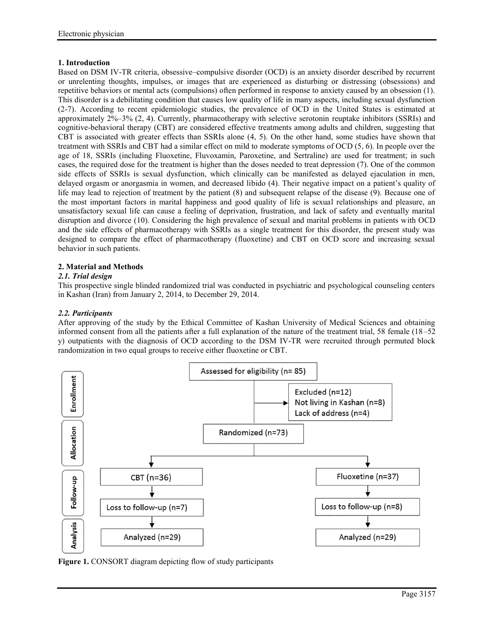# **1. Introduction**

Based on DSM IV-TR criteria, obsessive–compulsive disorder (OCD) is an anxiety disorder described by recurrent or unrelenting thoughts, impulses, or images that are experienced as disturbing or distressing (obsessions) and repetitive behaviors or mental acts (compulsions) often performed in response to anxiety caused by an obsession (1). This disorder is a debilitating condition that causes low quality of life in many aspects, including sexual dysfunction (2-7). According to recent epidemiologic studies, the prevalence of OCD in the United States is estimated at approximately 2%–3% (2, 4). Currently, pharmacotherapy with selective serotonin reuptake inhibitors (SSRIs) and cognitive-behavioral therapy (CBT) are considered effective treatments among adults and children, suggesting that CBT is associated with greater effects than SSRIs alone (4, 5). On the other hand, some studies have shown that treatment with SSRIs and CBT had a similar effect on mild to moderate symptoms of OCD (5, 6). In people over the age of 18, SSRIs (including Fluoxetine, Fluvoxamin, Paroxetine, and Sertraline) are used for treatment; in such cases, the required dose for the treatment is higher than the doses needed to treat depression (7). One of the common side effects of SSRIs is sexual dysfunction, which clinically can be manifested as delayed ejaculation in men, delayed orgasm or anorgasmia in women, and decreased libido (4). Their negative impact on a patient's quality of life may lead to rejection of treatment by the patient (8) and subsequent relapse of the disease (9). Because one of the most important factors in marital happiness and good quality of life is sexual relationships and pleasure, an unsatisfactory sexual life can cause a feeling of deprivation, frustration, and lack of safety and eventually marital disruption and divorce (10). Considering the high prevalence of sexual and marital problems in patients with OCD and the side effects of pharmacotherapy with SSRIs as a single treatment for this disorder, the present study was designed to compare the effect of pharmacotherapy (fluoxetine) and CBT on OCD score and increasing sexual behavior in such patients.

# **2. Material and Methods**

# *2.1. Trial design*

This prospective single blinded randomized trial was conducted in psychiatric and psychological counseling centers in Kashan (Iran) from January 2, 2014, to December 29, 2014.

# *2.2. Participants*

After approving of the study by the Ethical Committee of Kashan University of Medical Sciences and obtaining informed consent from all the patients after a full explanation of the nature of the treatment trial, 58 female (18–52 y) outpatients with the diagnosis of OCD according to the DSM IV-TR were recruited through permuted block randomization in two equal groups to receive either fluoxetine or CBT.



**Figure 1.** CONSORT diagram depicting flow of study participants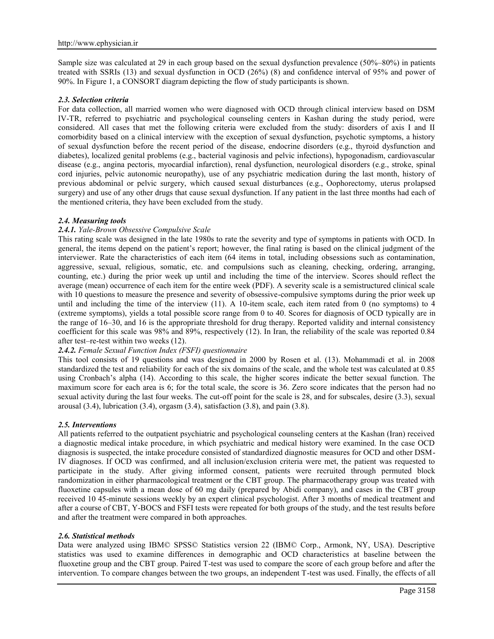Sample size was calculated at 29 in each group based on the sexual dysfunction prevalence (50%–80%) in patients treated with SSRIs (13) and sexual dysfunction in OCD (26%) (8) and confidence interval of 95% and power of 90%. In Figure 1, a CONSORT diagram depicting the flow of study participants is shown.

## *2.3. Selection criteria*

For data collection, all married women who were diagnosed with OCD through clinical interview based on DSM IV-TR, referred to psychiatric and psychological counseling centers in Kashan during the study period, were considered. All cases that met the following criteria were excluded from the study: disorders of axis I and II comorbidity based on a clinical interview with the exception of sexual dysfunction, psychotic symptoms, a history of sexual dysfunction before the recent period of the disease, endocrine disorders (e.g., thyroid dysfunction and diabetes), localized genital problems (e.g., bacterial vaginosis and pelvic infections), hypogonadism, cardiovascular disease (e.g., angina pectoris, myocardial infarction), renal dysfunction, neurological disorders (e.g., stroke, spinal cord injuries, pelvic autonomic neuropathy), use of any psychiatric medication during the last month, history of previous abdominal or pelvic surgery, which caused sexual disturbances (e.g., Oophorectomy, uterus prolapsed surgery) and use of any other drugs that cause sexual dysfunction. If any patient in the last three months had each of the mentioned criteria, they have been excluded from the study.

## *2.4. Measuring tools*

## *2.4.1. Yale-Brown Obsessive Compulsive Scale*

This rating scale was designed in the late 1980s to rate the severity and type of symptoms in patients with OCD. In general, the items depend on the patient's report; however, the final rating is based on the clinical judgment of the interviewer. Rate the characteristics of each item (64 items in total, including obsessions such as contamination, aggressive, sexual, religious, somatic, etc. and compulsions such as cleaning, checking, ordering, arranging, counting, etc.) during the prior week up until and including the time of the interview. Scores should reflect the average (mean) occurrence of each item for the entire week (PDF). A severity scale is a semistructured clinical scale with 10 questions to measure the presence and severity of obsessive-compulsive symptoms during the prior week up until and including the time of the interview (11). A 10-item scale, each item rated from 0 (no symptoms) to 4 (extreme symptoms), yields a total possible score range from 0 to 40. Scores for diagnosis of OCD typically are in the range of 16–30, and 16 is the appropriate threshold for drug therapy. Reported validity and internal consistency coefficient for this scale was 98% and 89%, respectively (12). In Iran, the reliability of the scale was reported 0.84 after test–re-test within two weeks (12).

## *2.4.2. Female Sexual Function Index (FSFI) questionnaire*

This tool consists of 19 questions and was designed in 2000 by Rosen et al. (13). Mohammadi et al. in 2008 standardized the test and reliability for each of the six domains of the scale, and the whole test was calculated at 0.85 using Cronbach's alpha (14). According to this scale, the higher scores indicate the better sexual function. The maximum score for each area is 6; for the total scale, the score is 36. Zero score indicates that the person had no sexual activity during the last four weeks. The cut-off point for the scale is 28, and for subscales, desire (3.3), sexual arousal  $(3.4)$ , lubrication  $(3.4)$ , orgasm  $(3.4)$ , satisfaction  $(3.8)$ , and pain  $(3.8)$ .

#### *2.5. Interventions*

All patients referred to the outpatient psychiatric and psychological counseling centers at the Kashan (Iran) received a diagnostic medical intake procedure, in which psychiatric and medical history were examined. In the case OCD diagnosis is suspected, the intake procedure consisted of standardized diagnostic measures for OCD and other DSM-IV diagnoses. If OCD was confirmed, and all inclusion/exclusion criteria were met, the patient was requested to participate in the study. After giving informed consent, patients were recruited through permuted block randomization in either pharmacological treatment or the CBT group. The pharmacotherapy group was treated with fluoxetine capsules with a mean dose of 60 mg daily (prepared by Abidi company), and cases in the CBT group received 10 45-minute sessions weekly by an expert clinical psychologist. After 3 months of medical treatment and after a course of CBT, Y-BOCS and FSFI tests were repeated for both groups of the study, and the test results before and after the treatment were compared in both approaches.

#### *2.6. Statistical methods*

Data were analyzed using IBM© SPSS© Statistics version 22 (IBM© Corp., Armonk, NY, USA). Descriptive statistics was used to examine differences in demographic and OCD characteristics at baseline between the fluoxetine group and the CBT group. Paired T-test was used to compare the score of each group before and after the intervention. To compare changes between the two groups, an independent T-test was used. Finally, the effects of all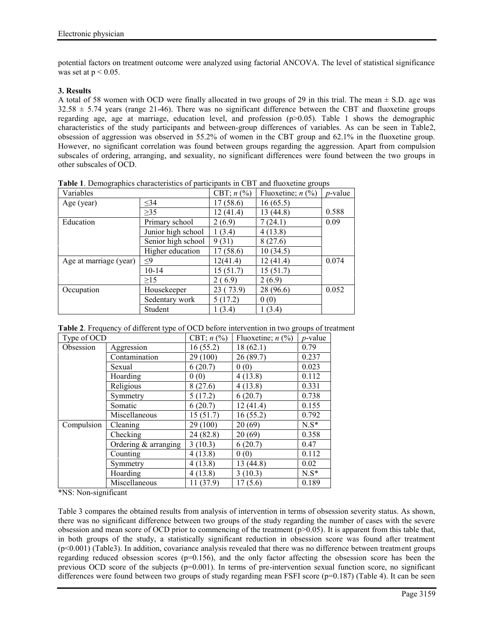potential factors on treatment outcome were analyzed using factorial ANCOVA. The level of statistical significance was set at  $p < 0.05$ .

## **3. Results**

A total of 58 women with OCD were finally allocated in two groups of 29 in this trial. The mean  $\pm$  S.D. age was  $32.58 \pm 5.74$  years (range 21-46). There was no significant difference between the CBT and fluoxetine groups regarding age, age at marriage, education level, and profession  $(p>0.05)$ . Table 1 shows the demographic characteristics of the study participants and between-group differences of variables. As can be seen in Table2, obsession of aggression was observed in 55.2% of women in the CBT group and 62.1% in the fluoxetine group. However, no significant correlation was found between groups regarding the aggression. Apart from compulsion subscales of ordering, arranging, and sexuality, no significant differences were found between the two groups in other subscales of OCD.

| Variables              |                    | CBT; $n$ (%) | Fluoxetine; $n$ (%) | $p$ -value |
|------------------------|--------------------|--------------|---------------------|------------|
| Age (year)             | $\leq$ 34          | 17 (58.6)    | 16(65.5)            |            |
|                        | $\geq$ 35          | 12(41.4)     | 13 (44.8)           | 0.588      |
| Education              | Primary school     | 2(6.9)       | 7(24.1)             | 0.09       |
|                        | Junior high school | (3.4)        | 4(13.8)             |            |
|                        | Senior high school | 9(31)        | 8(27.6)             |            |
|                        | Higher education   | 17 (58.6)    | 10(34.5)            |            |
| Age at marriage (year) | ≤9                 | 12(41.4)     | 12 (41.4)           | 0.074      |
|                        | $10 - 14$          | 15 (51.7)    | 15(51.7)            |            |
|                        | >15                | 2(6.9)       | 2(6.9)              |            |
| Occupation             | Housekeeper        | 23 (73.9)    | 28 (96.6)           | 0.052      |
|                        | Sedentary work     | 5(17.2)      | 0(0)                |            |
|                        | Student            | (3.4)        | 1(3.4)              |            |

**Table 1**. Demographics characteristics of participants in CBT and fluoxetine groups

|  | Table 2. Frequency of different type of OCD before intervention in two groups of treatment |  |  |
|--|--------------------------------------------------------------------------------------------|--|--|
|--|--------------------------------------------------------------------------------------------|--|--|

| Type of OCD |                        | CBT; $n$ (%) | Fluoxetine; $n$ (%) | <i>p</i> -value |  |
|-------------|------------------------|--------------|---------------------|-----------------|--|
| Obsession   | Aggression             | 16(55.2)     | 18(62.1)            | 0.79            |  |
|             | Contamination          | 29 (100)     | 26(89.7)            | 0.237           |  |
|             | Sexual                 | 6(20.7)      | 0(0)                | 0.023           |  |
|             | Hoarding               | 0(0)         | 4(13.8)             | 0.112           |  |
|             | Religious              | 8(27.6)      | 4(13.8)             | 0.331           |  |
|             | Symmetry               | 5(17.2)      | 6(20.7)             | 0.738           |  |
|             | Somatic                | 6(20.7)      | 12(41.4)            | 0.155           |  |
|             | Miscellaneous          | 15(51.7)     | 16(55.2)            | 0.792           |  |
| Compulsion  | Cleaning               | 29 (100)     | 20(69)              | $N.S^*$         |  |
|             | Checking               | 24 (82.8)    | 20(69)              | 0.358           |  |
|             | Ordering $&$ arranging | 3(10.3)      | 6(20.7)             | 0.47            |  |
|             | Counting               | 4(13.8)      | 0(0)                | 0.112           |  |
|             | Symmetry               | 4(13.8)      | 13 (44.8)           | 0.02            |  |
|             | Hoarding               | 4(13.8)      | 3(10.3)             | $N.S*$          |  |
|             | Miscellaneous          | 11(37.9)     | 17(5.6)             | 0.189           |  |

\*NS: Non-significant

Table 3 compares the obtained results from analysis of intervention in terms of obsession severity status. As shown, there was no significant difference between two groups of the study regarding the number of cases with the severe obsession and mean score of OCD prior to commencing of the treatment  $(p>0.05)$ . It is apparent from this table that, in both groups of the study, a statistically significant reduction in obsession score was found after treatment (p<0.001) (Table3). In addition, covariance analysis revealed that there was no difference between treatment groups regarding reduced obsession scores ( $p=0.156$ ), and the only factor affecting the obsession score has been the previous OCD score of the subjects (p=0.001). In terms of pre-intervention sexual function score, no significant differences were found between two groups of study regarding mean FSFI score (p=0.187) (Table 4). It can be seen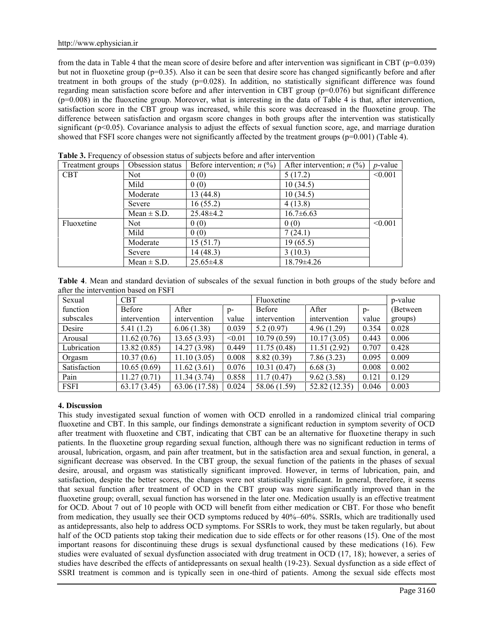from the data in Table 4 that the mean score of desire before and after intervention was significant in CBT (p=0.039) but not in fluoxetine group (p=0.35). Also it can be seen that desire score has changed significantly before and after treatment in both groups of the study (p=0.028). In addition, no statistically significant difference was found regarding mean satisfaction score before and after intervention in CBT group (p=0.076) but significant difference  $(p=0.008)$  in the fluoxetine group. Moreover, what is interesting in the data of Table 4 is that, after intervention, satisfaction score in the CBT group was increased, while this score was decreased in the fluoxetine group. The difference between satisfaction and orgasm score changes in both groups after the intervention was statistically significant ( $p<0.05$ ). Covariance analysis to adjust the effects of sexual function score, age, and marriage duration showed that FSFI score changes were not significantly affected by the treatment groups  $(p=0.001)$  (Table 4).

| Treatment groups | Obsession status | Before intervention; $n$ (%) | After intervention; $n$ (%) | <i>p</i> -value |
|------------------|------------------|------------------------------|-----------------------------|-----------------|
| <b>CBT</b>       | Not:             | 0(0)                         | 5(17.2)                     | < 0.001         |
|                  | Mild             | 0(0)                         | 10(34.5)                    |                 |
|                  | Moderate         | 13(44.8)                     | 10(34.5)                    |                 |
|                  | Severe           | 16(55.2)                     | 4(13.8)                     |                 |
|                  | Mean $\pm$ S.D.  | $25.48\pm4.2$                | $16.7\pm 6.63$              |                 |
| Fluoxetine       | Not.             | 0(0)                         | 0(0)                        | < 0.001         |
|                  | Mild             | 0(0)                         | 7(24.1)                     |                 |
|                  | Moderate         | 15(51.7)                     | 19(65.5)                    |                 |
|                  | Severe           | 14(48.3)                     | 3(10.3)                     |                 |
|                  | Mean $\pm$ S.D.  | $25.65\pm4.8$                | $18.79 \pm 4.26$            |                 |

**Table 3.** Frequency of obsession status of subjects before and after intervention

**Table 4**. Mean and standard deviation of subscales of the sexual function in both groups of the study before and after the intervention based on FSFI

| Sexual       | <b>CBT</b>   |               |        | Fluoxetine   |               |       | p-value   |
|--------------|--------------|---------------|--------|--------------|---------------|-------|-----------|
| function     | Before       | After         | $D -$  | Before       | After         | $p-$  | (Between) |
| subscales    | intervention | intervention  | value  | intervention | intervention  | value | groups)   |
| Desire       | 5.41(1.2)    | 6.06(1.38)    | 0.039  | 5.2(0.97)    | 4.96(1.29)    | 0.354 | 0.028     |
| Arousal      | 11.62(0.76)  | 13.65(3.93)   | < 0.01 | 10.79(0.59)  | 10.17(3.05)   | 0.443 | 0.006     |
| Lubrication  | 13.82(0.85)  | 14.27 (3.98)  | 0.449  | 11.75(0.48)  | 11.51(2.92)   | 0.707 | 0.428     |
| Orgasm       | 10.37(0.6)   | 11.10(3.05)   | 0.008  | 8.82(0.39)   | 7.86(3.23)    | 0.095 | 0.009     |
| Satisfaction | 10.65(0.69)  | 11.62(3.61)   | 0.076  | 10.31(0.47)  | 6.68(3)       | 0.008 | 0.002     |
| Pain         | 11.27(0.71)  | 11.34(3.74)   | 0.858  | 11.7(0.47)   | 9.62(3.58)    | 0.121 | 0.129     |
| <b>FSFI</b>  | 63.17(3.45)  | 63.06 (17.58) | 0.024  | 58.06 (1.59) | 52.82 (12.35) | 0.046 | 0.003     |

# **4. Discussion**

This study investigated sexual function of women with OCD enrolled in a randomized clinical trial comparing fluoxetine and CBT. In this sample, our findings demonstrate a significant reduction in symptom severity of OCD after treatment with fluoxetine and CBT, indicating that CBT can be an alternative for fluoxetine therapy in such patients. In the fluoxetine group regarding sexual function, although there was no significant reduction in terms of arousal, lubrication, orgasm, and pain after treatment, but in the satisfaction area and sexual function, in general, a significant decrease was observed. In the CBT group, the sexual function of the patients in the phases of sexual desire, arousal, and orgasm was statistically significant improved. However, in terms of lubrication, pain, and satisfaction, despite the better scores, the changes were not statistically significant. In general, therefore, it seems that sexual function after treatment of OCD in the CBT group was more significantly improved than in the fluoxetine group; overall, sexual function has worsened in the later one. Medication usually is an effective treatment for OCD. About 7 out of 10 people with OCD will benefit from either medication or CBT. For those who benefit from medication, they usually see their OCD symptoms reduced by 40%–60%. SSRIs, which are traditionally used as antidepressants, also help to address OCD symptoms. For SSRIs to work, they must be taken regularly, but about half of the OCD patients stop taking their medication due to side effects or for other reasons (15). One of the most important reasons for discontinuing these drugs is sexual dysfunctional caused by these medications (16). Few studies were evaluated of sexual dysfunction associated with drug treatment in OCD (17, 18); however, a series of studies have described the effects of antidepressants on sexual health (19-23). Sexual dysfunction as a side effect of SSRI treatment is common and is typically seen in one-third of patients. Among the sexual side effects most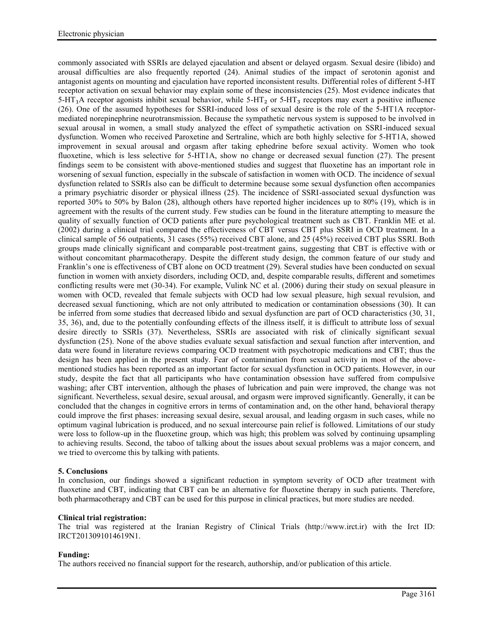commonly associated with SSRIs are delayed ejaculation and absent or delayed orgasm. Sexual desire (libido) and arousal difficulties are also frequently reported (24). Animal studies of the impact of serotonin agonist and antagonist agents on mounting and ejaculation have reported inconsistent results. Differential roles of different 5-HT receptor activation on sexual behavior may explain some of these inconsistencies (25). Most evidence indicates that  $5-HT<sub>1</sub>A$  receptor agonists inhibit sexual behavior, while  $5-HT<sub>2</sub>$  or  $5-HT<sub>3</sub>$  receptors may exert a positive influence (26). One of the assumed hypotheses for SSRI-induced loss of sexual desire is the role of the 5-HT1A receptor mediated norepinephrine neurotransmission. Because the sympathetic nervous system is supposed to be involved in sexual arousal in women, a small study analyzed the effect of sympathetic activation on SSRI-induced sexual dysfunction. Women who received Paroxetine and Sertraline, which are both highly selective for 5-HT1A, showed improvement in sexual arousal and orgasm after taking ephedrine before sexual activity. Women who took fluoxetine, which is less selective for 5-HT1A, show no change or decreased sexual function (27). The present findings seem to be consistent with above-mentioned studies and suggest that fluoxetine has an important role in worsening of sexual function, especially in the subscale of satisfaction in women with OCD. The incidence of sexual dysfunction related to SSRIs also can be difficult to determine because some sexual dysfunction often accompanies a primary psychiatric disorder or physical illness (25). The incidence of SSRI-associated sexual dysfunction was reported 30% to 50% by Balon (28), although others have reported higher incidences up to 80% (19), which is in agreement with the results of the current study. Few studies can be found in the literature attempting to measure the quality of sexually function of OCD patients after pure psychological treatment such as CBT. Franklin ME et al. (2002) during a clinical trial compared the effectiveness of CBT versus CBT plus SSRI in OCD treatment. In a clinical sample of 56 outpatients, 31 cases (55%) received CBT alone, and 25 (45%) received CBT plus SSRI. Both groups made clinically significant and comparable post-treatment gains, suggesting that CBT is effective with or without concomitant pharmacotherapy. Despite the different study design, the common feature of our study and Franklin's one is effectiveness of CBT alone on OCD treatment (29). Several studies have been conducted on sexual function in women with anxiety disorders, including OCD, and, despite comparable results, different and sometimes conflicting results were met (30-34). For example, Vulink NC et al. (2006) during their study on sexual pleasure in women with OCD, revealed that female subjects with OCD had low sexual pleasure, high sexual revulsion, and decreased sexual functioning, which are not only attributed to medication or contamination obsessions (30). It can be inferred from some studies that decreased libido and sexual dysfunction are part of OCD characteristics (30, 31, 35, 36), and, due to the potentially confounding effects of the illness itself, it is difficult to attribute loss of sexual desire directly to SSRIs (37). Nevertheless, SSRIs are associated with risk of clinically significant sexual dysfunction (25). None of the above studies evaluate sexual satisfaction and sexual function after intervention, and data were found in literature reviews comparing OCD treatment with psychotropic medications and CBT; thus the design has been applied in the present study. Fear of contamination from sexual activity in most of the above mentioned studies has been reported as an important factor for sexual dysfunction in OCD patients. However, in our study, despite the fact that all participants who have contamination obsession have suffered from compulsive washing; after CBT intervention, although the phases of lubrication and pain were improved, the change was not significant. Nevertheless, sexual desire, sexual arousal, and orgasm were improved significantly. Generally, it can be concluded that the changes in cognitive errors in terms of contamination and, on the other hand, behavioral therapy could improve the first phases: increasing sexual desire, sexual arousal, and leading orgasm in such cases, while no optimum vaginal lubrication is produced, and no sexual intercourse pain relief is followed. Limitations of our study were loss to follow-up in the fluoxetine group, which was high; this problem was solved by continuing upsampling to achieving results. Second, the taboo of talking about the issues about sexual problems was a major concern, and we tried to overcome this by talking with patients.

# **5. Conclusions**

In conclusion, our findings showed a significant reduction in symptom severity of OCD after treatment with fluoxetine and CBT, indicating that CBT can be an alternative for fluoxetine therapy in such patients. Therefore, both pharmacotherapy and CBT can be used for this purpose in clinical practices, but more studies are needed.

#### **Clinical trial registration:**

The trial was registered at the Iranian Registry of Clinical Trials (http://www.irct.ir) with the Irct ID: IRCT2013091014619N1.

#### **Funding:**

The authors received no financial support for the research, authorship, and/or publication of this article.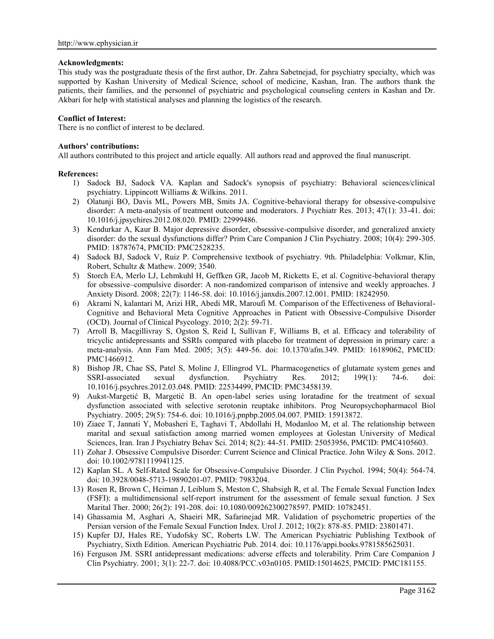## **Acknowledgments:**

This study was the postgraduate thesis of the first author, Dr. Zahra Sabetnejad, for psychiatry specialty, which was supported by Kashan University of Medical Science, school of medicine, Kashan, Iran. The authors thank the patients, their families, and the personnel of psychiatric and psychological counseling centers in Kashan and Dr. Akbari for help with statistical analyses and planning the logistics of the research.

# **Conflict of Interest:**

There is no conflict of interest to be declared.

## **Authors' contributions:**

All authors contributed to this project and article equally. All authors read and approved the final manuscript.

## **References:**

- 1) Sadock BJ, Sadock VA. Kaplan and Sadock's synopsis of psychiatry: Behavioral sciences/clinical psychiatry. Lippincott Williams & Wilkins. 2011.
- 2) Olatunji BO, Davis ML, Powers MB, Smits JA. Cognitive-behavioral therapy for obsessive-compulsive disorder: A meta-analysis of treatment outcome and moderators. J Psychiatr Res. 2013; 47(1): 33-41. doi: 10.1016/j.jpsychires.2012.08.020. PMID: 22999486.
- 3) Kendurkar A, Kaur B. Major depressive disorder, obsessive-compulsive disorder, and generalized anxiety disorder: do the sexual dysfunctions differ? Prim Care Companion J Clin Psychiatry. 2008; 10(4): 299-305. PMID: 18787674, PMCID: PMC2528235.
- 4) Sadock BJ, Sadock V, Ruiz P. Comprehensive textbook of psychiatry. 9th. Philadelphia: Volkmar, Klin, Robert, Schultz & Mathew. 2009; 3540.
- 5) Storch EA, Merlo LJ, Lehmkuhl H, Geffken GR, Jacob M, Ricketts E, et al. Cognitive-behavioral therapy for obsessive–compulsive disorder: A non-randomized comparison of intensive and weekly approaches. J Anxiety Disord. 2008; 22(7): 1146-58. doi: 10.1016/j.janxdis.2007.12.001. PMID: 18242950.
- 6) Akrami N, kalantari M, Arizi HR, Abedi MR, Maroufi M. Comparison of the Effectiveness of Behavioral- Cognitive and Behavioral Meta Cognitive Approaches in Patient with Obsessive-Compulsive Disorder (OCD). Journal of Clinical Psycology. 2010; 2(2): 59-71.
- 7) Arroll B, Macgillivray S, Ogston S, Reid I, Sullivan F, Williams B, et al. Efficacy and tolerability of tricyclic antidepressants and SSRIs compared with placebo for treatment of depression in primary care: a meta-analysis. Ann Fam Med. 2005; 3(5): 449-56. doi: 10.1370/afm.349. PMID: 16189062, PMCID: PMC1466912.
- 8) Bishop JR, Chae SS, Patel S, Moline J, Ellingrod VL. Pharmacogenetics of glutamate system genes and SSRI-associated sexual dysfunction. Psychiatry Res. 2012; 199(1): 74-6. doi: SSRI-associated sexual dysfunction. Psychiatry Res. 2012; 199(1): 74-6. doi: 10.1016/j.psychres.2012.03.048. PMID: 22534499, PMCID: PMC3458139.
- 9) Aukst-Margetić B, Margetić B. An open-label series using loratadine for the treatment of sexual dysfunction associated with selective serotonin reuptake inhibitors. Prog Neuropsychopharmacol Biol Psychiatry. 2005; 29(5): 754-6. doi: 10.1016/j.pnpbp.2005.04.007. PMID: 15913872.
- 10) Ziaee T, Jannati Y, Mobasheri E, Taghavi T, Abdollahi H, Modanloo M, et al. The relationship between marital and sexual satisfaction among married women employees at Golestan University of Medical Sciences, Iran. Iran J Psychiatry Behav Sci. 2014; 8(2): 44-51. PMID: 25053956, PMCID: PMC4105603.
- 11) Zohar J. Obsessive Compulsive Disorder: Current Science and Clinical Practice. John Wiley & Sons. 2012. doi: 10.1002/9781119941125.
- 12) Kaplan SL. A Self-Rated Scale for Obsessive-Compulsive Disorder. J Clin Psychol. 1994; 50(4): 564-74. doi: 10.3928/0048-5713-19890201-07. PMID: 7983204.
- 13) Rosen R, Brown C, Heiman J, Leiblum S, Meston C, Shabsigh R, et al. The Female Sexual Function Index (FSFI): a multidimensional self-report instrument for the assessment of female sexual function. J Sex Marital Ther. 2000; 26(2): 191-208. doi: 10.1080/009262300278597. PMID: 10782451.
- 14) Ghassamia M, Asghari A, Shaeiri MR, Safarinejad MR. Validation of psychometric properties of the Persian version of the Female Sexual Function Index. Urol J. 2012; 10(2): 878-85. PMID: 23801471.
- 15) Kupfer DJ, Hales RE, Yudofsky SC, Roberts LW. The American Psychiatric Publishing Textbook of Psychiatry, Sixth Edition. American Psychiatric Pub. 2014. doi: 10.1176/appi.books.9781585625031.
- 16) Ferguson JM. SSRI antidepressant medications: adverse effects and tolerability. Prim Care Companion J Clin Psychiatry. 2001; 3(1): 22-7. doi: 10.4088/PCC.v03n0105. PMID:15014625, PMCID: PMC181155.